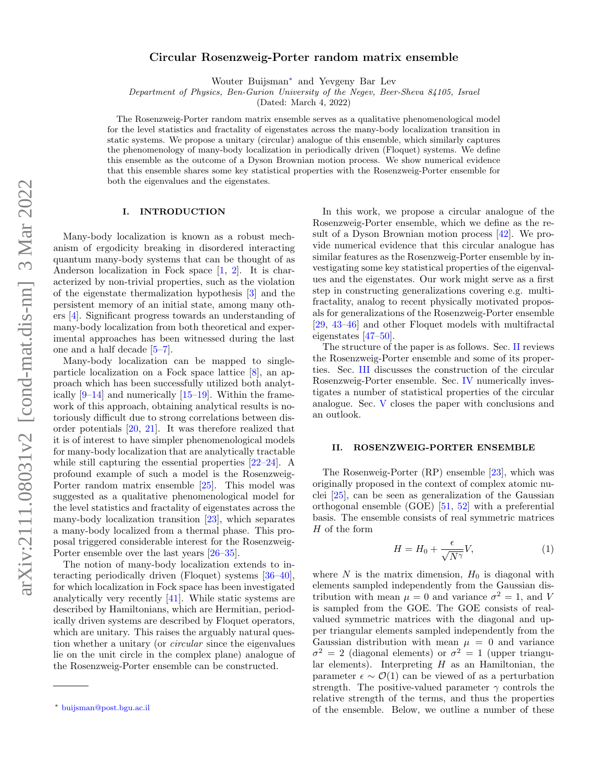# Circular Rosenzweig-Porter random matrix ensemble

Wouter Buijsman[∗](#page-0-0) and Yevgeny Bar Lev

Department of Physics, Ben-Gurion University of the Negev, Beer-Sheva 84105, Israel

(Dated: March 4, 2022)

The Rosenzweig-Porter random matrix ensemble serves as a qualitative phenomenological model for the level statistics and fractality of eigenstates across the many-body localization transition in static systems. We propose a unitary (circular) analogue of this ensemble, which similarly captures the phenomenology of many-body localization in periodically driven (Floquet) systems. We define this ensemble as the outcome of a Dyson Brownian motion process. We show numerical evidence that this ensemble shares some key statistical properties with the Rosenzweig-Porter ensemble for both the eigenvalues and the eigenstates.

## I. INTRODUCTION

Many-body localization is known as a robust mechanism of ergodicity breaking in disordered interacting quantum many-body systems that can be thought of as Anderson localization in Fock space [\[1,](#page-4-0) [2\]](#page-4-1). It is characterized by non-trivial properties, such as the violation of the eigenstate thermalization hypothesis [\[3\]](#page-4-2) and the persistent memory of an initial state, among many others [\[4\]](#page-4-3). Significant progress towards an understanding of many-body localization from both theoretical and experimental approaches has been witnessed during the last one and a half decade [\[5–](#page-4-4)[7\]](#page-4-5).

Many-body localization can be mapped to singleparticle localization on a Fock space lattice [\[8\]](#page-4-6), an approach which has been successfully utilized both analytically [\[9](#page-4-7)[–14\]](#page-5-0) and numerically [\[15–](#page-5-1)[19\]](#page-5-2). Within the framework of this approach, obtaining analytical results is notoriously difficult due to strong correlations between disorder potentials [\[20,](#page-5-3) [21\]](#page-5-4). It was therefore realized that it is of interest to have simpler phenomenological models for many-body localization that are analytically tractable while still capturing the essential properties [\[22–](#page-5-5)[24\]](#page-5-6). A profound example of such a model is the Rosenzweig-Porter random matrix ensemble [\[25\]](#page-5-7). This model was suggested as a qualitative phenomenological model for the level statistics and fractality of eigenstates across the many-body localization transition [\[23\]](#page-5-8), which separates a many-body localized from a thermal phase. This proposal triggered considerable interest for the Rosenzweig-Porter ensemble over the last years [\[26–](#page-5-9)[35\]](#page-5-10).

The notion of many-body localization extends to interacting periodically driven (Floquet) systems [\[36–](#page-5-11)[40\]](#page-5-12), for which localization in Fock space has been investigated analytically very recently [\[41\]](#page-5-13). While static systems are described by Hamiltonians, which are Hermitian, periodically driven systems are described by Floquet operators, which are unitary. This raises the arguably natural question whether a unitary (or circular since the eigenvalues lie on the unit circle in the complex plane) analogue of the Rosenzweig-Porter ensemble can be constructed.

In this work, we propose a circular analogue of the Rosenzweig-Porter ensemble, which we define as the result of a Dyson Brownian motion process [\[42\]](#page-5-14). We provide numerical evidence that this circular analogue has similar features as the Rosenzweig-Porter ensemble by investigating some key statistical properties of the eigenvalues and the eigenstates. Our work might serve as a first step in constructing generalizations covering e.g. multifractality, analog to recent physically motivated proposals for generalizations of the Rosenzweig-Porter ensemble [\[29,](#page-5-15) [43–](#page-5-16)[46\]](#page-5-17) and other Floquet models with multifractal eigenstates [\[47](#page-5-18)[–50\]](#page-5-19).

The structure of the paper is as follows. Sec. [II](#page-0-1) reviews the Rosenzweig-Porter ensemble and some of its properties. Sec. [III](#page-1-0) discusses the construction of the circular Rosenzweig-Porter ensemble. Sec. [IV](#page-2-0) numerically investigates a number of statistical properties of the circular analogue. Sec. [V](#page-3-0) closes the paper with conclusions and an outlook.

#### <span id="page-0-1"></span>II. ROSENZWEIG-PORTER ENSEMBLE

The Rosenweig-Porter (RP) ensemble [\[23\]](#page-5-8), which was originally proposed in the context of complex atomic nuclei [\[25\]](#page-5-7), can be seen as generalization of the Gaussian orthogonal ensemble (GOE) [\[51,](#page-5-20) [52\]](#page-6-0) with a preferential basis. The ensemble consists of real symmetric matrices H of the form

<span id="page-0-2"></span>
$$
H = H_0 + \frac{\epsilon}{\sqrt{N^{\gamma}}} V,\tag{1}
$$

where  $N$  is the matrix dimension,  $H_0$  is diagonal with elements sampled independently from the Gaussian distribution with mean  $\mu = 0$  and variance  $\sigma^2 = 1$ , and V is sampled from the GOE. The GOE consists of realvalued symmetric matrices with the diagonal and upper triangular elements sampled independently from the Gaussian distribution with mean  $\mu = 0$  and variance  $\sigma^2 = 2$  (diagonal elements) or  $\sigma^2 = 1$  (upper triangular elements). Interpreting  $H$  as an Hamiltonian, the parameter  $\epsilon \sim \mathcal{O}(1)$  can be viewed of as a perturbation strength. The positive-valued parameter  $\gamma$  controls the relative strength of the terms, and thus the properties of the ensemble. Below, we outline a number of these

<span id="page-0-0"></span><sup>∗</sup> [buijsman@post.bgu.ac.il](mailto:buijsman@post.bgu.ac.il)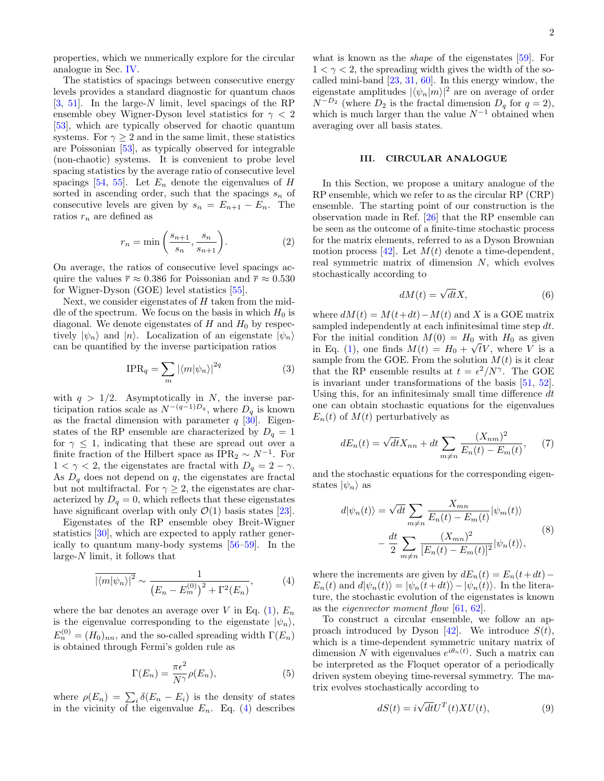properties, which we numerically explore for the circular analogue in Sec. [IV.](#page-2-0)

The statistics of spacings between consecutive energy levels provides a standard diagnostic for quantum chaos  $[3, 51]$  $[3, 51]$  $[3, 51]$ . In the large-N limit, level spacings of the RP ensemble obey Wigner-Dyson level statistics for  $\gamma < 2$ [\[53\]](#page-6-1), which are typically observed for chaotic quantum systems. For  $\gamma \geq 2$  and in the same limit, these statistics are Poissonian [\[53\]](#page-6-1), as typically observed for integrable (non-chaotic) systems. It is convenient to probe level spacing statistics by the average ratio of consecutive level spacings [\[54,](#page-6-2) [55\]](#page-6-3). Let  $E_n$  denote the eigenvalues of H sorted in ascending order, such that the spacings  $s_n$  of consecutive levels are given by  $s_n = E_{n+1} - E_n$ . The ratios  $r_n$  are defined as

<span id="page-1-4"></span>
$$
r_n = \min\left(\frac{s_{n+1}}{s_n}, \frac{s_n}{s_{n+1}}\right). \tag{2}
$$

On average, the ratios of consecutive level spacings acquire the values  $\bar{r} \approx 0.386$  for Poissonian and  $\bar{r} \approx 0.530$ for Wigner-Dyson (GOE) level statistics [\[55\]](#page-6-3).

Next, we consider eigenstates of  $H$  taken from the middle of the spectrum. We focus on the basis in which  $H_0$  is diagonal. We denote eigenstates of  $H$  and  $H_0$  by respectively  $|\psi_n\rangle$  and  $|n\rangle$ . Localization of an eigenstate  $|\psi_n\rangle$ can be quantified by the inverse participation ratios

$$
\text{IPR}_q = \sum_m |\langle m|\psi_n\rangle|^{2q} \tag{3}
$$

with  $q > 1/2$ . Asymptotically in N, the inverse participation ratios scale as  $N^{-(q-1)D_q}$ , where  $D_q$  is known as the fractal dimension with parameter  $q$  [\[30\]](#page-5-21). Eigenstates of the RP ensemble are characterized by  $D_q = 1$ for  $\gamma \leq 1$ , indicating that these are spread out over a finite fraction of the Hilbert space as IPR<sub>2</sub>  $\sim N^{-1}$ . For  $1 < \gamma < 2$ , the eigenstates are fractal with  $D_q = 2 - \gamma$ . As  $D_q$  does not depend on  $q$ , the eigenstates are fractal but not multifractal. For  $\gamma \geq 2$ , the eigenstates are characterized by  $D_q = 0$ , which reflects that these eigenstates have significant overlap with only  $\mathcal{O}(1)$  basis states [\[23\]](#page-5-8).

Eigenstates of the RP ensemble obey Breit-Wigner statistics [\[30\]](#page-5-21), which are expected to apply rather generically to quantum many-body systems [\[56–](#page-6-4)[59\]](#page-6-5). In the large-N limit, it follows that

<span id="page-1-1"></span>
$$
\overline{\left|\langle m|\psi_n\rangle\right|^2} \sim \frac{1}{\left(E_n - E_m^{(0)}\right)^2 + \Gamma^2(E_n)},\tag{4}
$$

where the bar denotes an average over V in Eq.  $(1)$ ,  $E_n$ is the eigenvalue corresponding to the eigenstate  $|\psi_n\rangle$ ,  $E_n^{(0)} = (H_0)_{nn}$ , and the so-called spreading width  $\Gamma(E_n)$ is obtained through Fermi's golden rule as

$$
\Gamma(E_n) = \frac{\pi \epsilon^2}{N^{\gamma}} \rho(E_n), \tag{5}
$$

where  $\rho(E_n) = \sum_i \delta(E_n - E_i)$  is the density of states in the vicinity of the eigenvalue  $E_n$ . Eq. [\(4\)](#page-1-1) describes

what is known as the shape of the eigenstates [\[59\]](#page-6-5). For  $1 < \gamma < 2$ , the spreading width gives the width of the socalled mini-band [\[23,](#page-5-8) [31,](#page-5-22) [60\]](#page-6-6). In this energy window, the eigenstate amplitudes  $|\langle \psi_n|m\rangle|^2$  are on average of order  $N^{-D_2}$  (where  $D_2$  is the fractal dimension  $D_q$  for  $q=2$ ), which is much larger than the value  $N^{-1}$  obtained when averaging over all basis states.

#### <span id="page-1-0"></span>III. CIRCULAR ANALOGUE

In this Section, we propose a unitary analogue of the RP ensemble, which we refer to as the circular RP (CRP) ensemble. The starting point of our construction is the observation made in Ref. [\[26\]](#page-5-9) that the RP ensemble can be seen as the outcome of a finite-time stochastic process for the matrix elements, referred to as a Dyson Brownian motion process [\[42\]](#page-5-14). Let  $M(t)$  denote a time-dependent, real symmetric matrix of dimension N, which evolves stochastically according to

$$
dM(t) = \sqrt{dt}X,\t\t(6)
$$

<span id="page-1-5"></span>where  $dM(t) = M(t+dt) - M(t)$  and X is a GOE matrix sampled independently at each infinitesimal time step dt. For the initial condition  $M(0) = H_0$  with  $H_0$  as given in Eq. [\(1\)](#page-0-2), one finds  $M(t) = H_0 + \sqrt{t}V$ , where V is a sample from the GOE. From the solution  $M(t)$  is it clear that the RP ensemble results at  $t = \epsilon^2/N^{\gamma}$ . The GOE is invariant under transformations of the basis [\[51,](#page-5-20) [52\]](#page-6-0). Using this, for an infinitesimaly small time difference  $dt$ one can obtain stochastic equations for the eigenvalues  $E_n(t)$  of  $M(t)$  perturbatively as

<span id="page-1-3"></span>
$$
dE_n(t) = \sqrt{dt}X_{nn} + dt \sum_{m \neq n} \frac{(X_{nm})^2}{E_n(t) - E_m(t)},
$$
 (7)

and the stochastic equations for the corresponding eigenstates  $|\psi_n\rangle$  as

$$
d|\psi_n(t)\rangle = \sqrt{dt} \sum_{m \neq n} \frac{X_{mn}}{E_n(t) - E_m(t)} |\psi_m(t)\rangle
$$

$$
- \frac{dt}{2} \sum_{m \neq n} \frac{(X_{mn})^2}{[E_n(t) - E_m(t)]^2} |\psi_n(t)\rangle,
$$
(8)

where the increments are given by  $dE_n(t) = E_n(t+dt)$  –  $E_n(t)$  and  $d|\psi_n(t)\rangle = |\psi_n(t+dt)\rangle - |\psi_n(t)\rangle$ . In the literature, the stochastic evolution of the eigenstates is known as the eigenvector moment flow [\[61,](#page-6-7) [62\]](#page-6-8).

<span id="page-1-6"></span>To construct a circular ensemble, we follow an ap-proach introduced by Dyson [\[42\]](#page-5-14). We introduce  $S(t)$ , which is a time-dependent symmetric unitary matrix of dimension N with eigenvalues  $e^{i\theta_n(t)}$ . Such a matrix can be interpreted as the Floquet operator of a periodically driven system obeying time-reversal symmetry. The matrix evolves stochastically according to

<span id="page-1-2"></span>
$$
dS(t) = i\sqrt{dt}U^{T}(t)XU(t),
$$
\n(9)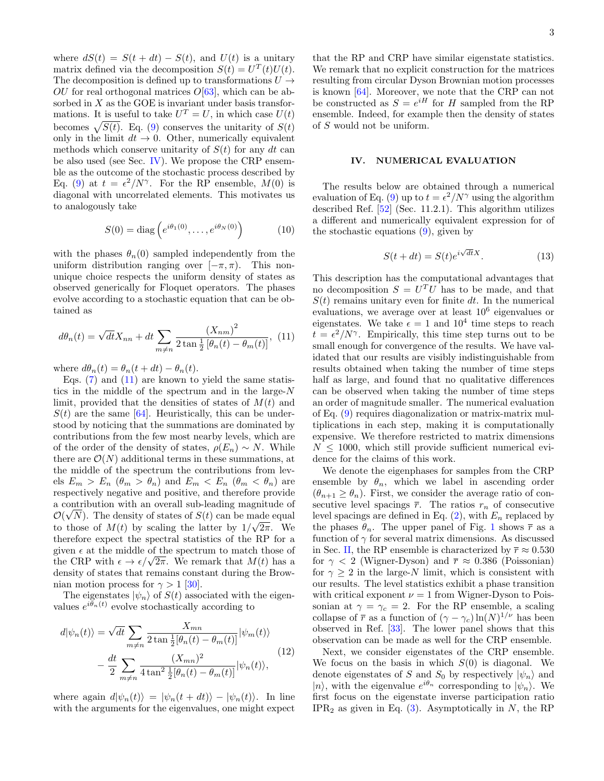where  $dS(t) = S(t + dt) - S(t)$ , and  $U(t)$  is a unitary matrix defined via the decomposition  $S(t) = U<sup>T</sup>(t)U(t)$ . The decomposition is defined up to transformations  $U \rightarrow$  $OU$  for real orthogonal matrices  $O[63]$  $O[63]$ , which can be absorbed in  $X$  as the GOE is invariant under basis transformations. It is useful to take  $U^T = U$ , in which case  $U(t)$ becomes  $\sqrt{S(t)}$ . Eq. [\(9\)](#page-1-2) conserves the unitarity of  $S(t)$ only in the limit  $dt \rightarrow 0$ . Other, numerically equivalent methods which conserve unitarity of  $S(t)$  for any dt can be also used (see Sec. [IV\)](#page-2-0). We propose the CRP ensemble as the outcome of the stochastic process described by Eq. [\(9\)](#page-1-2) at  $t = \frac{\epsilon^2}{N^{\gamma}}$ . For the RP ensemble,  $M(0)$  is diagonal with uncorrelated elements. This motivates us to analogously take

<span id="page-2-2"></span>
$$
S(0) = \text{diag}\left(e^{i\theta_1(0)}, \dots, e^{i\theta_N(0)}\right) \tag{10}
$$

with the phases  $\theta_n(0)$  sampled independently from the uniform distribution ranging over  $[-\pi, \pi)$ . This nonunique choice respects the uniform density of states as observed generically for Floquet operators. The phases evolve according to a stochastic equation that can be obtained as

<span id="page-2-1"></span>
$$
d\theta_n(t) = \sqrt{dt}X_{nn} + dt \sum_{m \neq n} \frac{(X_{nm})^2}{2 \tan \frac{1}{2} [\theta_n(t) - \theta_m(t)]},
$$
 (11)

where  $d\theta_n(t) = \theta_n(t + dt) - \theta_n(t)$ .

Eqs.  $(7)$  and  $(11)$  are known to yield the same statistics in the middle of the spectrum and in the large- $N$ limit, provided that the densities of states of  $M(t)$  and  $S(t)$  are the same [\[64\]](#page-6-10). Heuristically, this can be understood by noticing that the summations are dominated by contributions from the few most nearby levels, which are of the order of the density of states,  $\rho(E_n) \sim N$ . While there are  $\mathcal{O}(N)$  additional terms in these summations, at the middle of the spectrum the contributions from levels  $E_m > E_n$  ( $\theta_m > \theta_n$ ) and  $E_m < E_n$  ( $\theta_m < \theta_n$ ) are respectively negative and positive, and therefore provide a contribution with an overall sub-leading magnitude of  $\mathcal{O}(\sqrt{N})$ . The density of states of  $S(t)$  can be made equal to those of  $M(t)$  by scaling the latter by  $1/\sqrt{2\pi}$ . We therefore expect the spectral statistics of the RP for a given  $\epsilon$  at the middle of the spectrum to match those of the CRP with  $\epsilon \to \epsilon/\sqrt{2\pi}$ . We remark that  $M(t)$  has a density of states that remains constant during the Brownian motion process for  $\gamma > 1$  [\[30\]](#page-5-21).

The eigenstates  $|\psi_n\rangle$  of  $S(t)$  associated with the eigenvalues  $e^{i\theta_n(t)}$  evolve stochastically according to

$$
d|\psi_n(t)\rangle = \sqrt{dt} \sum_{m \neq n} \frac{X_{mn}}{2 \tan \frac{1}{2} [\theta_n(t) - \theta_m(t)]} |\psi_m(t)\rangle
$$

$$
-\frac{dt}{2} \sum_{m \neq n} \frac{(X_{mn})^2}{4 \tan^2 \frac{1}{2} [\theta_n(t) - \theta_m(t)]} |\psi_n(t)\rangle,
$$
(12)

where again  $d|\psi_n(t)\rangle = |\psi_n(t + dt)\rangle - |\psi_n(t)\rangle$ . In line with the arguments for the eigenvalues, one might expect

that the RP and CRP have similar eigenstate statistics. We remark that no explicit construction for the matrices resulting from circular Dyson Brownian motion processes is known [\[64\]](#page-6-10). Moreover, we note that the CRP can not be constructed as  $S = e^{iH}$  for H sampled from the RP ensemble. Indeed, for example then the density of states of S would not be uniform.

### <span id="page-2-0"></span>IV. NUMERICAL EVALUATION

The results below are obtained through a numerical evaluation of Eq. [\(9\)](#page-1-2) up to  $t = \epsilon^2/N^{\gamma}$  using the algorithm described Ref. [\[52\]](#page-6-0) (Sec. 11.2.1). This algorithm utilizes a different and numerically equivalent expression for of the stochastic equations [\(9\)](#page-1-2), given by

$$
S(t+dt) = S(t)e^{i\sqrt{dt}X}.
$$
 (13)

This description has the computational advantages that no decomposition  $S = U<sup>T</sup>U$  has to be made, and that  $S(t)$  remains unitary even for finite dt. In the numerical evaluations, we average over at least  $10^6$  eigenvalues or eigenstates. We take  $\epsilon = 1$  and  $10^4$  time steps to reach  $t = \epsilon^2/N^{\gamma}$ . Empirically, this time step turns out to be small enough for convergence of the results. We have validated that our results are visibly indistinguishable from results obtained when taking the number of time steps half as large, and found that no qualitative differences can be observed when taking the number of time steps an order of magnitude smaller. The numerical evaluation of Eq. [\(9\)](#page-1-2) requires diagonalization or matrix-matrix multiplications in each step, making it is computationally expensive. We therefore restricted to matrix dimensions  $N \leq 1000$ , which still provide sufficient numerical evidence for the claims of this work.

We denote the eigenphases for samples from the CRP ensemble by  $\theta_n$ , which we label in ascending order  $(\theta_{n+1} \geq \theta_n)$ . First, we consider the average ratio of consecutive level spacings  $\bar{r}$ . The ratios  $r_n$  of consecutive level spacings are defined in Eq.  $(2)$ , with  $E_n$  replaced by the phases  $\theta_n$ . The upper panel of Fig. [1](#page-3-1) shows  $\bar{r}$  as a function of  $\gamma$  for several matrix dimensions. As discussed in Sec. [II,](#page-0-1) the RP ensemble is characterized by  $\bar{r} \approx 0.530$ for  $\gamma$  < 2 (Wigner-Dyson) and  $\bar{r} \approx 0.386$  (Poissonian) for  $\gamma > 2$  in the large-N limit, which is consistent with our results. The level statistics exhibit a phase transition with critical exponent  $\nu = 1$  from Wigner-Dyson to Poissonian at  $\gamma = \gamma_c = 2$ . For the RP ensemble, a scaling collapse of  $\bar{r}$  as a function of  $(\gamma - \gamma_c) \ln(N)^{1/\nu}$  has been observed in Ref. [\[33\]](#page-5-23). The lower panel shows that this observation can be made as well for the CRP ensemble.

Next, we consider eigenstates of the CRP ensemble. We focus on the basis in which  $S(0)$  is diagonal. We denote eigenstates of S and  $S_0$  by respectively  $|\psi_n\rangle$  and  $|n\rangle$ , with the eigenvalue  $e^{i\theta_n}$  corresponding to  $|\psi_n\rangle$ . We first focus on the eigenstate inverse participation ratio  $IPR<sub>2</sub>$  as given in Eq. [\(3\)](#page-1-5). Asymptotically in N, the RP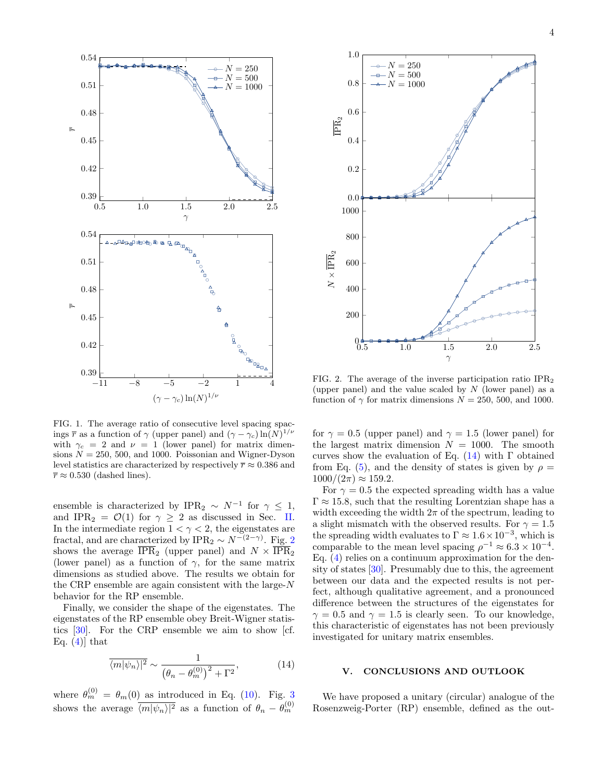

<span id="page-3-1"></span>FIG. 1. The average ratio of consecutive level spacing spacings  $\bar{r}$  as a function of  $\gamma$  (upper panel) and  $(\gamma - \gamma_c) \ln(N)^{1/\nu}$ with  $\gamma_c = 2$  and  $\nu = 1$  (lower panel) for matrix dimensions  $N = 250, 500,$  and 1000. Poissonian and Wigner-Dyson level statistics are characterized by respectively  $\bar{r} \approx 0.386$  and  $\overline{r} \approx 0.530$  (dashed lines).

ensemble is characterized by  $IPR_2 \sim N^{-1}$  for  $\gamma \leq 1$ , and IPR<sub>2</sub> =  $\mathcal{O}(1)$  for  $\gamma \geq 2$  as discussed in Sec. [II.](#page-0-1) In the intermediate region  $1 < \gamma < 2$ , the eigenstates are fractal, and are characterized by IPR<sub>[2](#page-3-2)</sub> ∼  $N^{-(2-\gamma)}$ . Fig. 2 shows the average  $\overline{\text{IPR}}_2$  (upper panel) and  $N \times \overline{\text{IPR}}_2$ (lower panel) as a function of  $\gamma$ , for the same matrix dimensions as studied above. The results we obtain for the CRP ensemble are again consistent with the large-N behavior for the RP ensemble.

Finally, we consider the shape of the eigenstates. The eigenstates of the RP ensemble obey Breit-Wigner statistics [\[30\]](#page-5-21). For the CRP ensemble we aim to show [cf. Eq.  $(4)$  that

<span id="page-3-3"></span>
$$
\overline{\langle m|\psi_n\rangle|^2} \sim \frac{1}{\left(\theta_n - \theta_m^{(0)}\right)^2 + \Gamma^2},\tag{14}
$$

where  $\theta_m^{(0)} = \theta_m(0)$  as introduced in Eq. [\(10\)](#page-2-2). Fig. [3](#page-4-8) shows the average  $\overline{\langle m|\psi_n\rangle|^2}$  as a function of  $\theta_n - \theta_m^{(0)}$ 



<span id="page-3-2"></span>FIG. 2. The average of the inverse participation ratio  $IPR<sub>2</sub>$ (upper panel) and the value scaled by  $N$  (lower panel) as a function of  $\gamma$  for matrix dimensions  $N = 250, 500,$  and 1000.

for  $\gamma = 0.5$  (upper panel) and  $\gamma = 1.5$  (lower panel) for the largest matrix dimension  $N = 1000$ . The smooth curves show the evaluation of Eq.  $(14)$  with Γ obtained from Eq. [\(5\)](#page-1-6), and the density of states is given by  $\rho =$  $1000/(2\pi) \approx 159.2$ .

For  $\gamma = 0.5$  the expected spreading width has a value  $\Gamma \approx 15.8$ , such that the resulting Lorentzian shape has a width exceeding the width  $2\pi$  of the spectrum, leading to a slight mismatch with the observed results. For  $\gamma = 1.5$ the spreading width evaluates to  $\Gamma \approx 1.6 \times 10^{-3}$ , which is comparable to the mean level spacing  $\rho^{-1} \approx 6.3 \times 10^{-4}$ . Eq. [\(4\)](#page-1-1) relies on a continuum approximation for the density of states [\[30\]](#page-5-21). Presumably due to this, the agreement between our data and the expected results is not perfect, although qualitative agreement, and a pronounced difference between the structures of the eigenstates for  $\gamma = 0.5$  and  $\gamma = 1.5$  is clearly seen. To our knowledge, this characteristic of eigenstates has not been previously investigated for unitary matrix ensembles.

### <span id="page-3-0"></span>V. CONCLUSIONS AND OUTLOOK

We have proposed a unitary (circular) analogue of the Rosenzweig-Porter (RP) ensemble, defined as the out-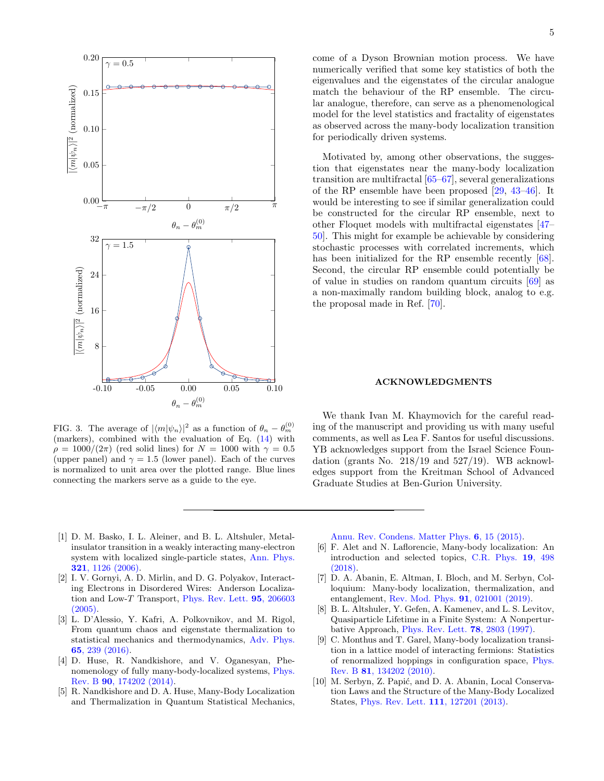

<span id="page-4-8"></span>FIG. 3. The average of  $|\langle m|\psi_n\rangle|^2$  as a function of  $\theta_n - \theta_m^{(0)}$ (markers), combined with the evaluation of Eq. [\(14\)](#page-3-3) with  $\rho = 1000/(2\pi)$  (red solid lines) for  $N = 1000$  with  $\gamma = 0.5$ (upper panel) and  $\gamma = 1.5$  (lower panel). Each of the curves is normalized to unit area over the plotted range. Blue lines connecting the markers serve as a guide to the eye.

come of a Dyson Brownian motion process. We have numerically verified that some key statistics of both the eigenvalues and the eigenstates of the circular analogue match the behaviour of the RP ensemble. The circular analogue, therefore, can serve as a phenomenological model for the level statistics and fractality of eigenstates as observed across the many-body localization transition for periodically driven systems.

Motivated by, among other observations, the suggestion that eigenstates near the many-body localization transition are multifractal [\[65–](#page-6-11)[67\]](#page-6-12), several generalizations of the RP ensemble have been proposed [\[29,](#page-5-15) [43–](#page-5-16)[46\]](#page-5-17). It would be interesting to see if similar generalization could be constructed for the circular RP ensemble, next to other Floquet models with multifractal eigenstates [\[47–](#page-5-18) [50\]](#page-5-19). This might for example be achievable by considering stochastic processes with correlated increments, which has been initialized for the RP ensemble recently  $[68]$ . Second, the circular RP ensemble could potentially be of value in studies on random quantum circuits [\[69\]](#page-6-14) as a non-maximally random building block, analog to e.g. the proposal made in Ref. [\[70\]](#page-6-15).

#### ACKNOWLEDGMENTS

We thank Ivan M. Khaymovich for the careful reading of the manuscript and providing us with many useful comments, as well as Lea F. Santos for useful discussions. YB acknowledges support from the Israel Science Foundation (grants No.  $218/19$  and  $527/19$ ). WB acknowledges support from the Kreitman School of Advanced Graduate Studies at Ben-Gurion University.

- <span id="page-4-0"></span>[1] D. M. Basko, I. L. Aleiner, and B. L. Altshuler, Metalinsulator transition in a weakly interacting many-electron system with localized single-particle states, [Ann. Phys.](https://doi.org/10.1016/j.aop.2005.11.014) 321[, 1126 \(2006\).](https://doi.org/10.1016/j.aop.2005.11.014)
- <span id="page-4-1"></span>[2] I. V. Gornyi, A. D. Mirlin, and D. G. Polyakov, Interacting Electrons in Disordered Wires: Anderson Localization and Low-T Transport, [Phys. Rev. Lett.](https://doi.org/10.1103/PhysRevLett.95.206603) 95, 206603 [\(2005\).](https://doi.org/10.1103/PhysRevLett.95.206603)
- <span id="page-4-2"></span>[3] L. D'Alessio, Y. Kafri, A. Polkovnikov, and M. Rigol, From quantum chaos and eigenstate thermalization to statistical mechanics and thermodynamics, [Adv. Phys.](https://doi.org/10.1080/00018732.2016.1198134) 65[, 239 \(2016\).](https://doi.org/10.1080/00018732.2016.1198134)
- <span id="page-4-3"></span>[4] D. Huse, R. Nandkishore, and V. Oganesyan, Phenomenology of fully many-body-localized systems, [Phys.](https://doi.org/10.1103/PhysRevB.90.174202) Rev. B 90[, 174202 \(2014\).](https://doi.org/10.1103/PhysRevB.90.174202)
- <span id="page-4-4"></span>[5] R. Nandkishore and D. A. Huse, Many-Body Localization and Thermalization in Quantum Statistical Mechanics,

[Annu. Rev. Condens. Matter Phys.](https://doi.org/10.1146/annurev-conmatphys-031214-014726) 6, 15 (2015).

- [6] F. Alet and N. Laflorencie, Many-body localization: An introduction and selected topics, [C.R. Phys.](https://doi.org/10.1016/j.crhy.2018.03.003) 19, 498 [\(2018\).](https://doi.org/10.1016/j.crhy.2018.03.003)
- <span id="page-4-5"></span>[7] D. A. Abanin, E. Altman, I. Bloch, and M. Serbyn, Colloquium: Many-body localization, thermalization, and entanglement, [Rev. Mod. Phys.](https://doi.org/10.1103/RevModPhys.91.021001) 91, 021001 (2019).
- <span id="page-4-6"></span>[8] B. L. Altshuler, Y. Gefen, A. Kamenev, and L. S. Levitov, Quasiparticle Lifetime in a Finite System: A Nonperturbative Approach, [Phys. Rev. Lett.](https://doi.org/10.1103/PhysRevLett.78.2803) 78, 2803 (1997).
- <span id="page-4-7"></span>[9] C. Monthus and T. Garel, Many-body localization transition in a lattice model of interacting fermions: Statistics of renormalized hoppings in configuration space, [Phys.](https://doi.org/10.1103/PhysRevB.81.134202) Rev. B 81[, 134202 \(2010\).](https://doi.org/10.1103/PhysRevB.81.134202)
- [10] M. Serbyn, Z. Papić, and D. A. Abanin, Local Conservation Laws and the Structure of the Many-Body Localized States, [Phys. Rev. Lett.](https://doi.org/10.1103/PhysRevLett.111.127201) 111, 127201 (2013).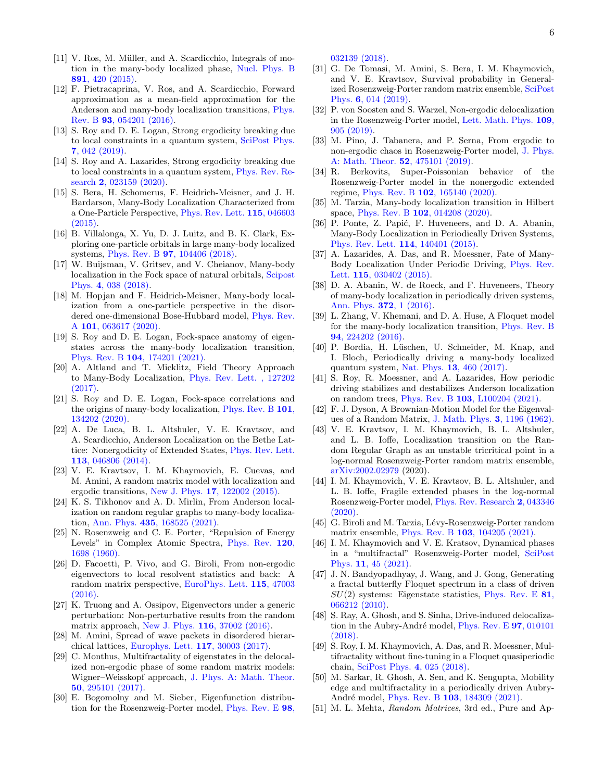- [12] F. Pietracaprina, V. Ros, and A. Scardicchio, Forward approximation as a mean-field approximation for the Anderson and many-body localization transitions, [Phys.](https://doi.org/10.1103/PhysRevB.93.054201) Rev. B 93[, 054201 \(2016\).](https://doi.org/10.1103/PhysRevB.93.054201)
- [13] S. Roy and D. E. Logan, Strong ergodicity breaking due to local constraints in a quantum system, [SciPost Phys.](https://doi.org/10.21468/SciPostPhys.7.4.042) 7[, 042 \(2019\).](https://doi.org/10.21468/SciPostPhys.7.4.042)
- <span id="page-5-0"></span>[14] S. Roy and A. Lazarides, Strong ergodicity breaking due to local constraints in a quantum system, [Phys. Rev. Re](https://doi.org/10.1103/PhysRevResearch.2.023159)search 2[, 023159 \(2020\).](https://doi.org/10.1103/PhysRevResearch.2.023159)
- <span id="page-5-1"></span>[15] S. Bera, H. Schomerus, F. Heidrich-Meisner, and J. H. Bardarson, Many-Body Localization Characterized from a One-Particle Perspective, [Phys. Rev. Lett.](https://doi.org/10.1103/PhysRevLett.115.046603) 115, 046603  $(2015).$
- [16] B. Villalonga, X. Yu, D. J. Luitz, and B. K. Clark, Exploring one-particle orbitals in large many-body localized systems, Phys. Rev. B 97[, 104406 \(2018\).](https://doi.org/10.1103/PhysRevB.97.104406)
- [17] W. Buijsman, V. Gritsev, and V. Cheianov, Many-body localization in the Fock space of natural orbitals, [Scipost](https://doi.org/10.21468/SciPostPhys.4.6.038) Phys. 4[, 038 \(2018\).](https://doi.org/10.21468/SciPostPhys.4.6.038)
- [18] M. Hopjan and F. Heidrich-Meisner, Many-body localization from a one-particle perspective in the disordered one-dimensional Bose-Hubbard model, [Phys. Rev.](https://doi.org/10.1103/PhysRevA.101.063617) A 101[, 063617 \(2020\).](https://doi.org/10.1103/PhysRevA.101.063617)
- <span id="page-5-2"></span>[19] S. Roy and D. E. Logan, Fock-space anatomy of eigenstates across the many-body localization transition, Phys. Rev. B 104[, 174201 \(2021\).](https://doi.org/10.1103/PhysRevB.104.174201)
- <span id="page-5-3"></span>[20] A. Altland and T. Micklitz, Field Theory Approach to Many-Body Localization, [Phys. Rev. Lett. , 127202](https://doi.org/10.1103/PhysRevLett.118.127202)  $(2017)$ .
- <span id="page-5-4"></span>[21] S. Roy and D. E. Logan, Fock-space correlations and the origins of many-body localization, [Phys. Rev. B](https://doi.org/10.1103/PhysRevB.101.134202) 101, [134202 \(2020\).](https://doi.org/10.1103/PhysRevB.101.134202)
- <span id="page-5-5"></span>[22] A. De Luca, B. L. Altshuler, V. E. Kravtsov, and A. Scardicchio, Anderson Localization on the Bethe Lattice: Nonergodicity of Extended States, [Phys. Rev. Lett.](https://doi.org/10.1103/PhysRevLett.113.046806) 113[, 046806 \(2014\).](https://doi.org/10.1103/PhysRevLett.113.046806)
- <span id="page-5-8"></span>[23] V. E. Kravtsov, I. M. Khaymovich, E. Cuevas, and M. Amini, A random matrix model with localization and ergodic transitions, New J. Phys. 17[, 122002 \(2015\).](https://doi.org/10.1088/1367-2630/17/12/122002)
- <span id="page-5-6"></span>[24] K. S. Tikhonov and A. D. Mirlin, From Anderson localization on random regular graphs to many-body localization, Ann. Phys. 435[, 168525 \(2021\).](https://doi.org/10.1016/j.aop.2021.168525)
- <span id="page-5-7"></span>[25] N. Rosenzweig and C. E. Porter, "Repulsion of Energy Levels" in Complex Atomic Spectra, [Phys. Rev.](https://doi.org/10.1103/PhysRev.120.1698) 120, [1698 \(1960\).](https://doi.org/10.1103/PhysRev.120.1698)
- <span id="page-5-9"></span>[26] D. Facoetti, P. Vivo, and G. Biroli, From non-ergodic eigenvectors to local resolvent statistics and back: A random matrix perspective, [EuroPhys. Lett.](https://doi.org/10.1209/0295-5075/115/47003) 115, 47003 [\(2016\).](https://doi.org/10.1209/0295-5075/115/47003)
- [27] K. Truong and A. Ossipov, Eigenvectors under a generic perturbation: Non-perturbative results from the random matrix approach, New J. Phys. 116[, 37002 \(2016\).](https://doi.org/10.1209/0295-5075/116/37002)
- [28] M. Amini, Spread of wave packets in disordered hierarchical lattices, [Europhys. Lett.](https://doi.org/10.1209/0295-5075/117/30003) 117, 30003 (2017).
- <span id="page-5-15"></span>[29] C. Monthus, Multifractality of eigenstates in the delocalized non-ergodic phase of some random matrix models: Wigner–Weisskopf approach, [J. Phys. A: Math. Theor.](https://doi.org/10.1088/1751-8121/aa77e1) 50[, 295101 \(2017\).](https://doi.org/10.1088/1751-8121/aa77e1)
- <span id="page-5-21"></span>[30] E. Bogomolny and M. Sieber, Eigenfunction distribution for the Rosenzweig-Porter model, [Phys. Rev. E](https://doi.org/10.1103/PhysRevE.98.032139) 98,

[032139 \(2018\).](https://doi.org/10.1103/PhysRevE.98.032139)

- <span id="page-5-22"></span>[31] G. De Tomasi, M. Amini, S. Bera, I. M. Khaymovich, and V. E. Kravtsov, Survival probability in Generalized Rosenzweig-Porter random matrix ensemble, [SciPost](https://doi.org/10.21468/SciPostPhys.6.1.014) Phys. 6[, 014 \(2019\).](https://doi.org/10.21468/SciPostPhys.6.1.014)
- [32] P. von Soosten and S. Warzel, Non-ergodic delocalization in the Rosenzweig-Porter model, [Lett. Math. Phys.](https://doi.org/10.1007/s11005-018-1131-7) 109, [905 \(2019\).](https://doi.org/10.1007/s11005-018-1131-7)
- <span id="page-5-23"></span>[33] M. Pino, J. Tabanera, and P. Serna, From ergodic to non-ergodic chaos in Rosenzweig-Porter model, [J. Phys.](https://doi.org/10.1088/1751-8121/ab4b76) [A: Math. Theor.](https://doi.org/10.1088/1751-8121/ab4b76) 52, 475101 (2019).
- [34] R. Berkovits, Super-Poissonian behavior of the Rosenzweig-Porter model in the nonergodic extended regime, Phys. Rev. B 102[, 165140 \(2020\).](https://doi.org/10.1103/PhysRevB.102.165140)
- <span id="page-5-10"></span>[35] M. Tarzia, Many-body localization transition in Hilbert space, Phys. Rev. B 102[, 014208 \(2020\).](https://doi.org/10.1103/PhysRevB.102.014208)
- <span id="page-5-11"></span>[36] P. Ponte, Z. Papić, F. Huveneers, and D. A. Abanin, Many-Body Localization in Periodically Driven Systems, [Phys. Rev. Lett.](https://doi.org/10.1103/PhysRevLett.114.140401) 114, 140401 (2015).
- [37] A. Lazarides, A. Das, and R. Moessner, Fate of Many-Body Localization Under Periodic Driving, [Phys. Rev.](https://doi.org/10.1103/PhysRevLett.115.030402) Lett. 115[, 030402 \(2015\).](https://doi.org/10.1103/PhysRevLett.115.030402)
- [38] D. A. Abanin, W. de Roeck, and F. Huveneers, Theory of many-body localization in periodically driven systems, [Ann. Phys.](https://doi.org/10.1016/j.aop.2016.03.010) 372, 1 (2016).
- [39] L. Zhang, V. Khemani, and D. A. Huse, A Floquet model for the many-body localization transition, [Phys. Rev. B](https://doi.org/10.1103/PhysRevB.94.224202) 94[, 224202 \(2016\).](https://doi.org/10.1103/PhysRevB.94.224202)
- <span id="page-5-12"></span>[40] P. Bordia, H. Lüschen, U. Schneider, M. Knap, and I. Bloch, Periodically driving a many-body localized quantum system, Nat. Phys. 13[, 460 \(2017\).](https://doi.org/10.1038/nphys4020)
- <span id="page-5-13"></span>[41] S. Roy, R. Moessner, and A. Lazarides, How periodic driving stabilizes and destabilizes Anderson localization on random trees, Phys. Rev. B 103[, L100204 \(2021\).](https://doi.org/10.1103/PhysRevB.103.L100204)
- <span id="page-5-14"></span>[42] F. J. Dyson, A Brownian-Motion Model for the Eigenvalues of a Random Matrix, [J. Math. Phys.](https://doi.org/10.1063/1.1703862) 3, 1196 (1962).
- <span id="page-5-16"></span>[43] V. E. Kravtsov, I. M. Khaymovich, B. L. Altshuler, and L. B. Ioffe, Localization transition on the Random Regular Graph as an unstable tricritical point in a log-normal Rosenzweig-Porter random matrix ensemble, [arXiv:2002.02979](https://arxiv.org/abs/2002.02979) (2020).
- [44] I. M. Khaymovich, V. E. Kravtsov, B. L. Altshuler, and L. B. Ioffe, Fragile extended phases in the log-normal Rosenzweig-Porter model, [Phys. Rev. Research](https://doi.org/10.1103/PhysRevResearch.2.043346) 2, 043346 [\(2020\).](https://doi.org/10.1103/PhysRevResearch.2.043346)
- [45] G. Biroli and M. Tarzia, Lévy-Rosenzweig-Porter random matrix ensemble, Phys. Rev. B 103[, 104205 \(2021\).](https://doi.org/10.1103/PhysRevB.103.104205)
- <span id="page-5-17"></span>[46] I. M. Khaymovich and V. E. Kratsov, Dynamical phases in a "multifractal" Rosenzweig-Porter model, [SciPost](https://doi.org/10.21468/SciPostPhys.11.2.045) Phys. 11[, 45 \(2021\).](https://doi.org/10.21468/SciPostPhys.11.2.045)
- <span id="page-5-18"></span>[47] J. N. Bandyopadhyay, J. Wang, and J. Gong, Generating a fractal butterfly Floquet spectrum in a class of driven  $SU(2)$  systems: Eigenstate statistics, [Phys. Rev. E](https://doi.org/10.1103/PhysRevE.81.066212) 81, [066212 \(2010\).](https://doi.org/10.1103/PhysRevE.81.066212)
- [48] S. Ray, A. Ghosh, and S. Sinha, Drive-induced delocaliza-tion in the Aubry-André model, [Phys. Rev. E](https://doi.org/10.1103/PhysRevE.97.010101) 97, 010101 [\(2018\).](https://doi.org/10.1103/PhysRevE.97.010101)
- [49] S. Roy, I. M. Khaymovich, A. Das, and R. Moessner, Multifractality without fine-tuning in a Floquet quasiperiodic chain, [SciPost Phys.](https://doi.org/10.21468/SciPostPhys.4.5.025) 4, 025 (2018).
- <span id="page-5-19"></span>[50] M. Sarkar, R. Ghosh, A. Sen, and K. Sengupta, Mobility edge and multifractality in a periodically driven Aubry-André model, Phys. Rev. B 103[, 184309 \(2021\).](https://doi.org/10.1103/PhysRevB.103.184309)
- <span id="page-5-20"></span>[51] M. L. Mehta, Random Matrices, 3rd ed., Pure and Ap-